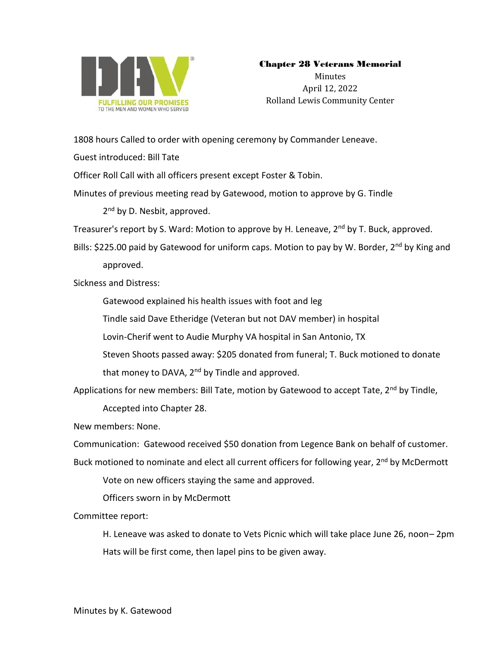

## Chapter 28 Veterans Memorial

Minutes April 12, 2022 Rolland Lewis Community Center

1808 hours Called to order with opening ceremony by Commander Leneave.

Guest introduced: Bill Tate

Officer Roll Call with all officers present except Foster & Tobin.

Minutes of previous meeting read by Gatewood, motion to approve by G. Tindle

2<sup>nd</sup> by D. Nesbit, approved.

Treasurer's report by S. Ward: Motion to approve by H. Leneave, 2<sup>nd</sup> by T. Buck, approved.

Bills: \$225.00 paid by Gatewood for uniform caps. Motion to pay by W. Border, 2<sup>nd</sup> by King and approved.

Sickness and Distress:

Gatewood explained his health issues with foot and leg

Tindle said Dave Etheridge (Veteran but not DAV member) in hospital

Lovin-Cherif went to Audie Murphy VA hospital in San Antonio, TX

Steven Shoots passed away: \$205 donated from funeral; T. Buck motioned to donate

that money to DAVA, 2<sup>nd</sup> by Tindle and approved.

Applications for new members: Bill Tate, motion by Gatewood to accept Tate, 2<sup>nd</sup> by Tindle,

Accepted into Chapter 28.

New members: None.

Communication: Gatewood received \$50 donation from Legence Bank on behalf of customer.

Buck motioned to nominate and elect all current officers for following year, 2<sup>nd</sup> by McDermott

Vote on new officers staying the same and approved.

Officers sworn in by McDermott

Committee report:

H. Leneave was asked to donate to Vets Picnic which will take place June 26, noon– 2pm Hats will be first come, then lapel pins to be given away.